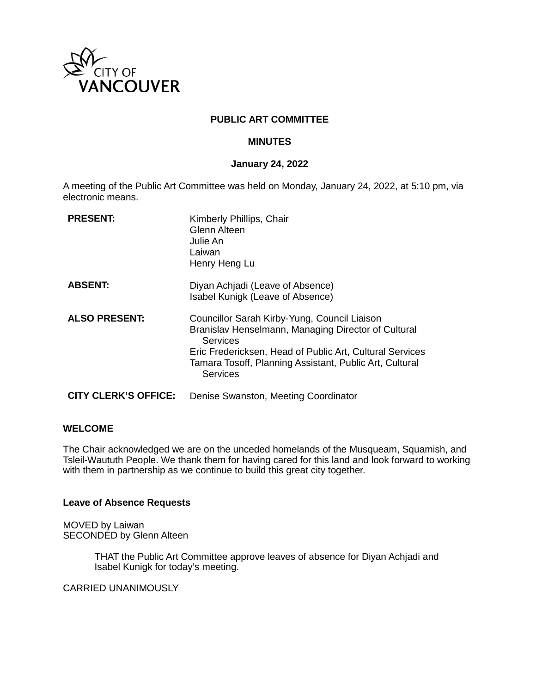

# **PUBLIC ART COMMITTEE**

# **MINUTES**

### **January 24, 2022**

A meeting of the Public Art Committee was held on Monday, January 24, 2022, at 5:10 pm, via electronic means.

| <b>PRESENT:</b>             | Kimberly Phillips, Chair<br><b>Glenn Alteen</b><br>Julie An<br>Laiwan<br>Henry Heng Lu                                                                                                                                                                           |
|-----------------------------|------------------------------------------------------------------------------------------------------------------------------------------------------------------------------------------------------------------------------------------------------------------|
| <b>ABSENT:</b>              | Diyan Achjadi (Leave of Absence)<br>Isabel Kunigk (Leave of Absence)                                                                                                                                                                                             |
| <b>ALSO PRESENT:</b>        | Councillor Sarah Kirby-Yung, Council Liaison<br>Branislav Henselmann, Managing Director of Cultural<br><b>Services</b><br>Eric Fredericksen, Head of Public Art, Cultural Services<br>Tamara Tosoff, Planning Assistant, Public Art, Cultural<br><b>Services</b> |
| <b>CITY CLERK'S OFFICE:</b> | Denise Swanston, Meeting Coordinator                                                                                                                                                                                                                             |

### **WELCOME**

The Chair acknowledged we are on the unceded homelands of the Musqueam, Squamish, and Tsleil-Waututh People. We thank them for having cared for this land and look forward to working with them in partnership as we continue to build this great city together.

### **Leave of Absence Requests**

MOVED by Laiwan SECONDED by Glenn Alteen

> THAT the Public Art Committee approve leaves of absence for Diyan Achjadi and Isabel Kunigk for today's meeting.

CARRIED UNANIMOUSLY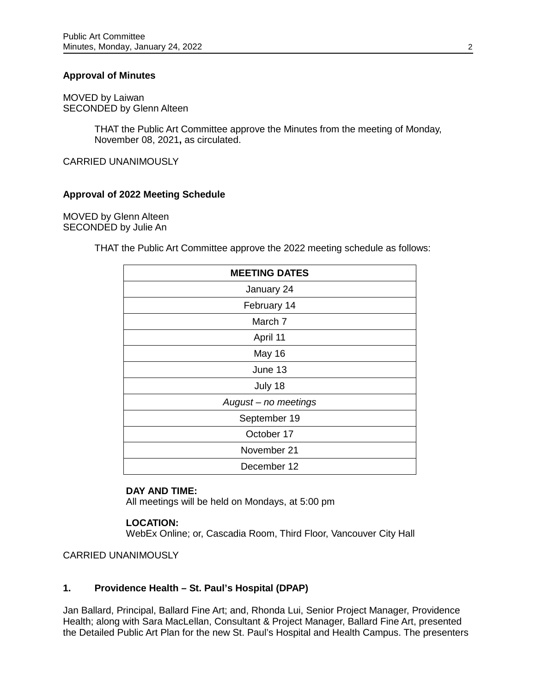# **Approval of Minutes**

MOVED by Laiwan SECONDED by Glenn Alteen

> THAT the Public Art Committee approve the Minutes from the meeting of Monday, November 08, 2021**,** as circulated.

CARRIED UNANIMOUSLY

### **Approval of 2022 Meeting Schedule**

MOVED by Glenn Alteen SECONDED by Julie An

THAT the Public Art Committee approve the 2022 meeting schedule as follows:

| <b>MEETING DATES</b> |
|----------------------|
| January 24           |
| February 14          |
| March 7              |
| April 11             |
| May 16               |
| June 13              |
| July 18              |
| August - no meetings |
| September 19         |
| October 17           |
| November 21          |
| December 12          |

#### **DAY AND TIME:**

All meetings will be held on Mondays, at 5:00 pm

### **LOCATION:**

WebEx Online; or, Cascadia Room, Third Floor, Vancouver City Hall

CARRIED UNANIMOUSLY

# **1. Providence Health – St. Paul's Hospital (DPAP)**

Jan Ballard, Principal, Ballard Fine Art; and, Rhonda Lui, Senior Project Manager, Providence Health; along with Sara MacLellan, Consultant & Project Manager, Ballard Fine Art, presented the Detailed Public Art Plan for the new St. Paul's Hospital and Health Campus. The presenters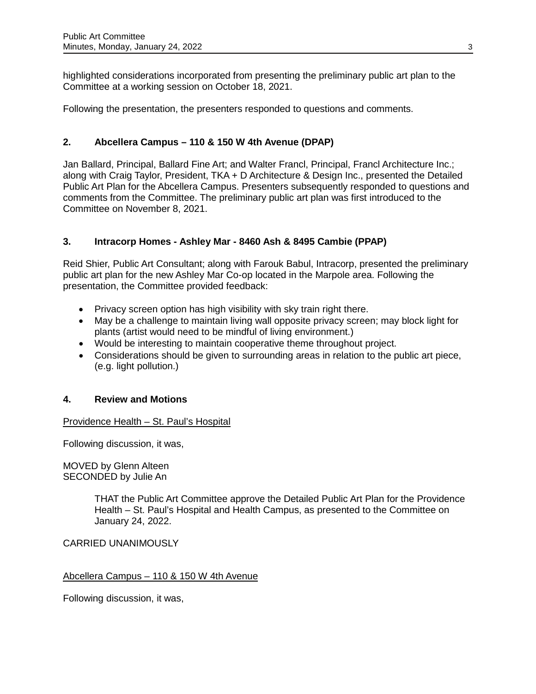highlighted considerations incorporated from presenting the preliminary public art plan to the Committee at a working session on October 18, 2021.

Following the presentation, the presenters responded to questions and comments.

# **2. Abcellera Campus – 110 & 150 W 4th Avenue (DPAP)**

Jan Ballard, Principal, Ballard Fine Art; and Walter Francl, Principal, Francl Architecture Inc.; along with Craig Taylor, President, TKA + D Architecture & Design Inc., presented the Detailed Public Art Plan for the Abcellera Campus. Presenters subsequently responded to questions and comments from the Committee. The preliminary public art plan was first introduced to the Committee on November 8, 2021.

# **3. Intracorp Homes - Ashley Mar - 8460 Ash & 8495 Cambie (PPAP)**

Reid Shier, Public Art Consultant; along with Farouk Babul, Intracorp, presented the preliminary public art plan for the new Ashley Mar Co-op located in the Marpole area. Following the presentation, the Committee provided feedback:

- Privacy screen option has high visibility with sky train right there.
- May be a challenge to maintain living wall opposite privacy screen; may block light for plants (artist would need to be mindful of living environment.)
- Would be interesting to maintain cooperative theme throughout project.
- Considerations should be given to surrounding areas in relation to the public art piece, (e.g. light pollution.)

# **4. Review and Motions**

### Providence Health – St. Paul's Hospital

Following discussion, it was,

MOVED by Glenn Alteen SECONDED by Julie An

> THAT the Public Art Committee approve the Detailed Public Art Plan for the Providence Health – St. Paul's Hospital and Health Campus, as presented to the Committee on January 24, 2022.

CARRIED UNANIMOUSLY

### Abcellera Campus – 110 & 150 W 4th Avenue

Following discussion, it was,